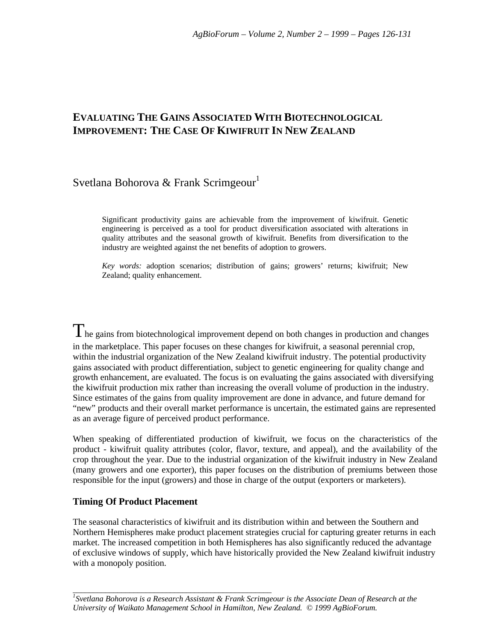# **EVALUATING THE GAINS ASSOCIATED WITH BIOTECHNOLOGICAL IMPROVEMENT: THE CASE OF KIWIFRUIT IN NEW ZEALAND**

# Svetlana Bohorova & Frank Scrimgeour<sup>1</sup>

Significant productivity gains are achievable from the improvement of kiwifruit. Genetic engineering is perceived as a tool for product diversification associated with alterations in quality attributes and the seasonal growth of kiwifruit. Benefits from diversification to the industry are weighted against the net benefits of adoption to growers.

*Key words:* adoption scenarios; distribution of gains; growers' returns; kiwifruit; New Zealand; quality enhancement.

The gains from biotechnological improvement depend on both changes in production and changes in the marketplace. This paper focuses on these changes for kiwifruit, a seasonal perennial crop, within the industrial organization of the New Zealand kiwifruit industry. The potential productivity gains associated with product differentiation, subject to genetic engineering for quality change and growth enhancement, are evaluated. The focus is on evaluating the gains associated with diversifying the kiwifruit production mix rather than increasing the overall volume of production in the industry. Since estimates of the gains from quality improvement are done in advance, and future demand for "new" products and their overall market performance is uncertain, the estimated gains are represented as an average figure of perceived product performance.

When speaking of differentiated production of kiwifruit, we focus on the characteristics of the product - kiwifruit quality attributes (color, flavor, texture, and appeal), and the availability of the crop throughout the year. Due to the industrial organization of the kiwifruit industry in New Zealand (many growers and one exporter), this paper focuses on the distribution of premiums between those responsible for the input (growers) and those in charge of the output (exporters or marketers).

## **Timing Of Product Placement**

The seasonal characteristics of kiwifruit and its distribution within and between the Southern and Northern Hemispheres make product placement strategies crucial for capturing greater returns in each market. The increased competition in both Hemispheres has also significantly reduced the advantage of exclusive windows of supply, which have historically provided the New Zealand kiwifruit industry with a monopoly position.

*\_\_\_\_\_\_\_\_\_\_\_\_\_\_\_\_\_\_\_\_\_\_\_\_\_\_\_\_\_\_\_\_\_\_\_\_\_\_\_\_\_\_\_\_\_\_\_\_\_ 1 Svetlana Bohorova is a Research Assistant & Frank Scrimgeour is the Associate Dean of Research at the University of Waikato Management School in Hamilton, New Zealand. © 1999 AgBioForum.*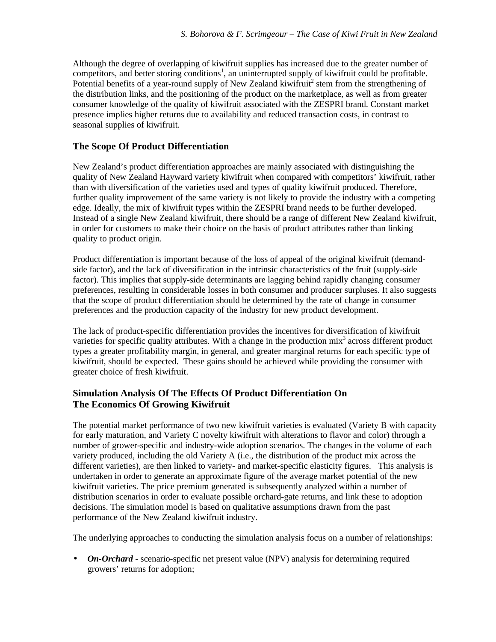Although the degree of overlapping of kiwifruit supplies has increased due to the greater number of competitors, and better storing conditions<sup>1</sup>, an uninterrupted supply of kiwifruit could be profitable. Potential benefits of a year-round supply of New Zealand kiwifruit<sup>2</sup> stem from the strengthening of the distribution links, and the positioning of the product on the marketplace, as well as from greater consumer knowledge of the quality of kiwifruit associated with the ZESPRI brand. Constant market presence implies higher returns due to availability and reduced transaction costs, in contrast to seasonal supplies of kiwifruit.

### **The Scope Of Product Differentiation**

New Zealand's product differentiation approaches are mainly associated with distinguishing the quality of New Zealand Hayward variety kiwifruit when compared with competitors' kiwifruit, rather than with diversification of the varieties used and types of quality kiwifruit produced. Therefore, further quality improvement of the same variety is not likely to provide the industry with a competing edge. Ideally, the mix of kiwifruit types within the ZESPRI brand needs to be further developed. Instead of a single New Zealand kiwifruit, there should be a range of different New Zealand kiwifruit, in order for customers to make their choice on the basis of product attributes rather than linking quality to product origin.

Product differentiation is important because of the loss of appeal of the original kiwifruit (demandside factor), and the lack of diversification in the intrinsic characteristics of the fruit (supply-side factor). This implies that supply-side determinants are lagging behind rapidly changing consumer preferences, resulting in considerable losses in both consumer and producer surpluses. It also suggests that the scope of product differentiation should be determined by the rate of change in consumer preferences and the production capacity of the industry for new product development.

The lack of product-specific differentiation provides the incentives for diversification of kiwifruit varieties for specific quality attributes. With a change in the production  $mix^3$  across different product types a greater profitability margin, in general, and greater marginal returns for each specific type of kiwifruit, should be expected. These gains should be achieved while providing the consumer with greater choice of fresh kiwifruit.

## **Simulation Analysis Of The Effects Of Product Differentiation On The Economics Of Growing Kiwifruit**

The potential market performance of two new kiwifruit varieties is evaluated (Variety B with capacity for early maturation, and Variety C novelty kiwifruit with alterations to flavor and color) through a number of grower-specific and industry-wide adoption scenarios. The changes in the volume of each variety produced, including the old Variety A (i.e., the distribution of the product mix across the different varieties), are then linked to variety- and market-specific elasticity figures. This analysis is undertaken in order to generate an approximate figure of the average market potential of the new kiwifruit varieties. The price premium generated is subsequently analyzed within a number of distribution scenarios in order to evaluate possible orchard-gate returns, and link these to adoption decisions. The simulation model is based on qualitative assumptions drawn from the past performance of the New Zealand kiwifruit industry.

The underlying approaches to conducting the simulation analysis focus on a number of relationships:

• *On-Orchard* - scenario-specific net present value (NPV) analysis for determining required growers' returns for adoption;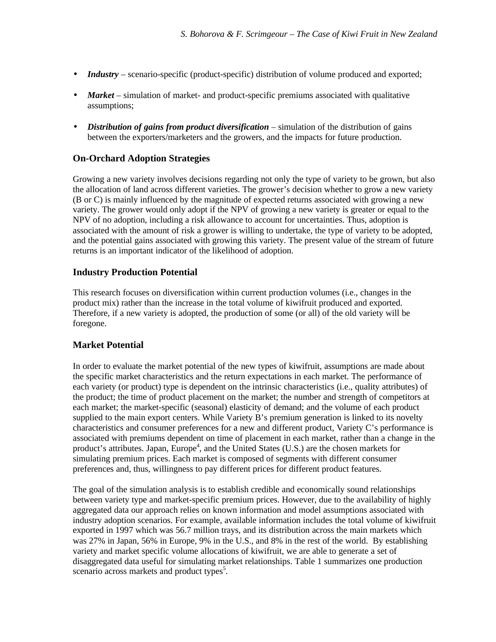- *Industry* scenario-specific (product-specific) distribution of volume produced and exported;
- *Market* simulation of market- and product-specific premiums associated with qualitative assumptions;
- *Distribution of gains from product diversification* simulation of the distribution of gains between the exporters/marketers and the growers, and the impacts for future production.

### **On-Orchard Adoption Strategies**

Growing a new variety involves decisions regarding not only the type of variety to be grown, but also the allocation of land across different varieties. The grower's decision whether to grow a new variety (B or C) is mainly influenced by the magnitude of expected returns associated with growing a new variety. The grower would only adopt if the NPV of growing a new variety is greater or equal to the NPV of no adoption, including a risk allowance to account for uncertainties. Thus, adoption is associated with the amount of risk a grower is willing to undertake, the type of variety to be adopted, and the potential gains associated with growing this variety. The present value of the stream of future returns is an important indicator of the likelihood of adoption.

#### **Industry Production Potential**

This research focuses on diversification within current production volumes (i.e., changes in the product mix) rather than the increase in the total volume of kiwifruit produced and exported. Therefore, if a new variety is adopted, the production of some (or all) of the old variety will be foregone.

#### **Market Potential**

In order to evaluate the market potential of the new types of kiwifruit, assumptions are made about the specific market characteristics and the return expectations in each market. The performance of each variety (or product) type is dependent on the intrinsic characteristics (i.e., quality attributes) of the product; the time of product placement on the market; the number and strength of competitors at each market; the market-specific (seasonal) elasticity of demand; and the volume of each product supplied to the main export centers. While Variety B's premium generation is linked to its novelty characteristics and consumer preferences for a new and different product, Variety C's performance is associated with premiums dependent on time of placement in each market, rather than a change in the product's attributes. Japan, Europe<sup>4</sup>, and the United States (U.S.) are the chosen markets for simulating premium prices. Each market is composed of segments with different consumer preferences and, thus, willingness to pay different prices for different product features.

The goal of the simulation analysis is to establish credible and economically sound relationships between variety type and market-specific premium prices. However, due to the availability of highly aggregated data our approach relies on known information and model assumptions associated with industry adoption scenarios. For example, available information includes the total volume of kiwifruit exported in 1997 which was 56.7 million trays, and its distribution across the main markets which was 27% in Japan, 56% in Europe, 9% in the U.S., and 8% in the rest of the world. By establishing variety and market specific volume allocations of kiwifruit, we are able to generate a set of disaggregated data useful for simulating market relationships. Table 1 summarizes one production scenario across markets and product types<sup>5</sup>.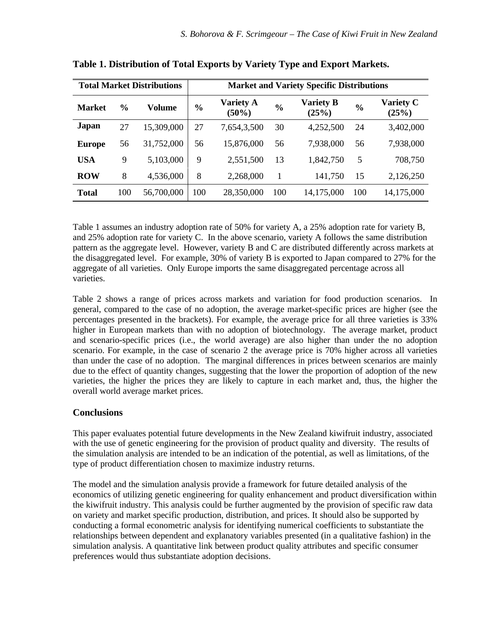| <b>Total Market Distributions</b> |               |            | <b>Market and Variety Specific Distributions</b> |                              |               |                           |               |                           |  |
|-----------------------------------|---------------|------------|--------------------------------------------------|------------------------------|---------------|---------------------------|---------------|---------------------------|--|
| <b>Market</b>                     | $\frac{0}{0}$ | Volume     | $\frac{6}{6}$                                    | <b>Variety A</b><br>$(50\%)$ | $\frac{6}{6}$ | <b>Variety B</b><br>(25%) | $\frac{0}{0}$ | <b>Variety C</b><br>(25%) |  |
| <b>Japan</b>                      | 27            | 15,309,000 | 27                                               | 7,654,3,500                  | 30            | 4,252,500                 | 24            | 3,402,000                 |  |
| <b>Europe</b>                     | 56            | 31,752,000 | 56                                               | 15,876,000                   | 56            | 7,938,000                 | 56            | 7,938,000                 |  |
| <b>USA</b>                        | 9             | 5,103,000  | 9                                                | 2,551,500                    | 13            | 1,842,750                 | 5             | 708,750                   |  |
| <b>ROW</b>                        | 8             | 4,536,000  | 8                                                | 2,268,000                    | 1             | 141,750                   | 15            | 2,126,250                 |  |
| <b>Total</b>                      | 100           | 56,700,000 | 100                                              | 28,350,000                   | 100           | 14,175,000                | 100           | 14,175,000                |  |

**Table 1. Distribution of Total Exports by Variety Type and Export Markets.**

Table 1 assumes an industry adoption rate of 50% for variety A, a 25% adoption rate for variety B, and 25% adoption rate for variety C. In the above scenario, variety A follows the same distribution pattern as the aggregate level. However, variety B and C are distributed differently across markets at the disaggregated level. For example, 30% of variety B is exported to Japan compared to 27% for the aggregate of all varieties. Only Europe imports the same disaggregated percentage across all varieties.

Table 2 shows a range of prices across markets and variation for food production scenarios. In general, compared to the case of no adoption, the average market-specific prices are higher (see the percentages presented in the brackets). For example, the average price for all three varieties is 33% higher in European markets than with no adoption of biotechnology. The average market, product and scenario-specific prices (i.e., the world average) are also higher than under the no adoption scenario. For example, in the case of scenario 2 the average price is 70% higher across all varieties than under the case of no adoption. The marginal differences in prices between scenarios are mainly due to the effect of quantity changes, suggesting that the lower the proportion of adoption of the new varieties, the higher the prices they are likely to capture in each market and, thus, the higher the overall world average market prices.

# **Conclusions**

This paper evaluates potential future developments in the New Zealand kiwifruit industry, associated with the use of genetic engineering for the provision of product quality and diversity. The results of the simulation analysis are intended to be an indication of the potential, as well as limitations, of the type of product differentiation chosen to maximize industry returns.

The model and the simulation analysis provide a framework for future detailed analysis of the economics of utilizing genetic engineering for quality enhancement and product diversification within the kiwifruit industry. This analysis could be further augmented by the provision of specific raw data on variety and market specific production, distribution, and prices. It should also be supported by conducting a formal econometric analysis for identifying numerical coefficients to substantiate the relationships between dependent and explanatory variables presented (in a qualitative fashion) in the simulation analysis. A quantitative link between product quality attributes and specific consumer preferences would thus substantiate adoption decisions.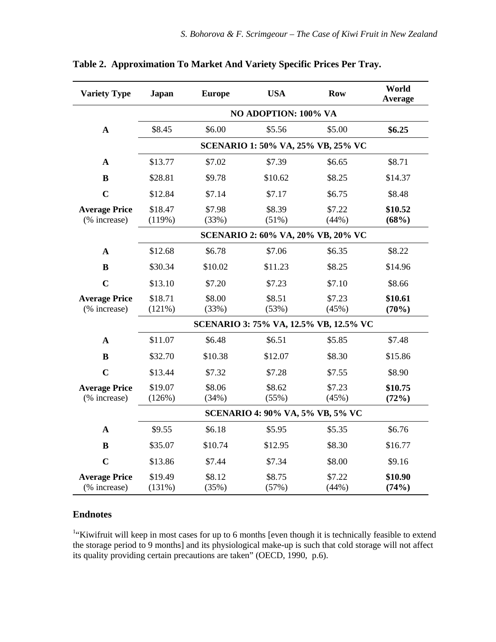| <b>Variety Type</b><br><b>Japan</b> |                                        | <b>Europe</b> | <b>USA</b> | <b>Row</b> | World<br><b>Average</b> |  |  |  |  |  |
|-------------------------------------|----------------------------------------|---------------|------------|------------|-------------------------|--|--|--|--|--|
|                                     | NO ADOPTION: 100% VA                   |               |            |            |                         |  |  |  |  |  |
| $\mathbf A$                         | \$8.45                                 | \$6.00        | \$5.56     | \$5.00     | \$6.25                  |  |  |  |  |  |
|                                     | SCENARIO 1: 50% VA, 25% VB, 25% VC     |               |            |            |                         |  |  |  |  |  |
| A                                   | \$13.77                                | \$7.02        | \$7.39     | \$6.65     | \$8.71                  |  |  |  |  |  |
| $\bf{B}$                            | \$28.81                                | \$9.78        | \$10.62    | \$8.25     | \$14.37                 |  |  |  |  |  |
| $\overline{C}$                      | \$12.84                                | \$7.14        | \$7.17     | \$6.75     | \$8.48                  |  |  |  |  |  |
| <b>Average Price</b>                | \$18.47                                | \$7.98        | \$8.39     | \$7.22     | \$10.52                 |  |  |  |  |  |
| (% increase)                        | (119%)                                 | (33%)         | (51%)      | (44%)      | (68%)                   |  |  |  |  |  |
|                                     | SCENARIO 2: 60% VA, 20% VB, 20% VC     |               |            |            |                         |  |  |  |  |  |
| $\mathbf{A}$                        | \$12.68                                | \$6.78        | \$7.06     | \$6.35     | \$8.22                  |  |  |  |  |  |
| $\bf{B}$                            | \$30.34                                | \$10.02       | \$11.23    | \$8.25     | \$14.96                 |  |  |  |  |  |
| $\mathbf C$                         | \$13.10                                | \$7.20        | \$7.23     | \$7.10     | \$8.66                  |  |  |  |  |  |
| <b>Average Price</b>                | \$18.71                                | \$8.00        | \$8.51     | \$7.23     | \$10.61                 |  |  |  |  |  |
| (% increase)                        | (121%)                                 | (33%)         | (53%)      | (45%)      | (70%)                   |  |  |  |  |  |
|                                     | SCENARIO 3: 75% VA, 12.5% VB, 12.5% VC |               |            |            |                         |  |  |  |  |  |
| $\mathbf A$                         | \$11.07                                | \$6.48        | \$6.51     | \$5.85     | \$7.48                  |  |  |  |  |  |
| $\bf{B}$                            | \$32.70                                | \$10.38       | \$12.07    | \$8.30     | \$15.86                 |  |  |  |  |  |
| $\mathbf C$                         | \$13.44                                | \$7.32        | \$7.28     | \$7.55     | \$8.90                  |  |  |  |  |  |
| <b>Average Price</b>                | \$19.07                                | \$8.06        | \$8.62     | \$7.23     | \$10.75                 |  |  |  |  |  |
| (% increase)                        | (126%)                                 | (34%)         | (55%)      | (45%)      | (72%)                   |  |  |  |  |  |
|                                     | SCENARIO 4: 90% VA, 5% VB, 5% VC       |               |            |            |                         |  |  |  |  |  |
| $\mathbf{A}$                        | \$9.55                                 | \$6.18        | \$5.95     | \$5.35     | \$6.76                  |  |  |  |  |  |
| $\bf{B}$                            | \$35.07                                | \$10.74       | \$12.95    | \$8.30     | \$16.77                 |  |  |  |  |  |
| $\mathbf C$                         | \$13.86                                | \$7.44        | \$7.34     | \$8.00     | \$9.16                  |  |  |  |  |  |
| <b>Average Price</b>                | \$19.49                                | \$8.12        | \$8.75     | \$7.22     | \$10.90                 |  |  |  |  |  |
| (% increase)                        | (131%)                                 | (35%)         | (57%)      | (44%)      | (74%)                   |  |  |  |  |  |

**Table 2. Approximation To Market And Variety Specific Prices Per Tray.**

# **Endnotes**

<sup>1</sup>"Kiwifruit will keep in most cases for up to 6 months [even though it is technically feasible to extend the storage period to 9 months] and its physiological make-up is such that cold storage will not affect its quality providing certain precautions are taken" (OECD, 1990, p.6).